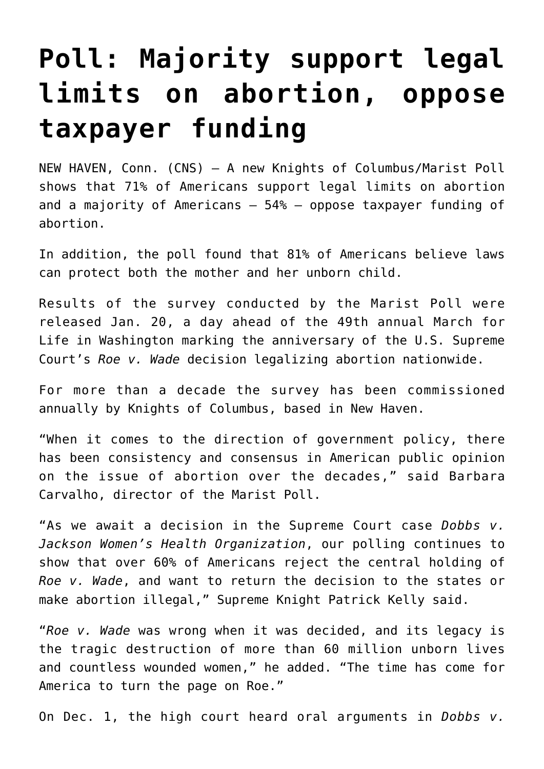## **[Poll: Majority support legal](https://www.osvnews.com/2022/01/21/poll-majority-support-legal-limits-on-abortion-oppose-taxpayer-funding/) [limits on abortion, oppose](https://www.osvnews.com/2022/01/21/poll-majority-support-legal-limits-on-abortion-oppose-taxpayer-funding/) [taxpayer funding](https://www.osvnews.com/2022/01/21/poll-majority-support-legal-limits-on-abortion-oppose-taxpayer-funding/)**

NEW HAVEN, Conn. (CNS) — A new Knights of Columbus/Marist Poll shows that 71% of Americans support legal limits on abortion and a majority of Americans — 54% — oppose taxpayer funding of abortion.

In addition, the poll found that 81% of Americans believe laws can protect both the mother and her unborn child.

Results of the survey conducted by the Marist Poll were released Jan. 20, a day ahead of the 49th annual March for Life in Washington marking the anniversary of the U.S. Supreme Court's *Roe v. Wade* decision legalizing abortion nationwide.

For more than a decade the survey has been commissioned annually by Knights of Columbus, based in New Haven.

"When it comes to the direction of government policy, there has been consistency and consensus in American public opinion on the issue of abortion over the decades," said Barbara Carvalho, director of the Marist Poll.

"As we await a decision in the Supreme Court case *Dobbs v. Jackson Women's Health Organization*, our polling continues to show that over 60% of Americans reject the central holding of *Roe v. Wade*, and want to return the decision to the states or make abortion illegal," Supreme Knight Patrick Kelly said.

"*Roe v. Wade* was wrong when it was decided, and its legacy is the tragic destruction of more than 60 million unborn lives and countless wounded women," he added. "The time has come for America to turn the page on Roe."

On Dec. 1, the high court heard oral arguments in *Dobbs v.*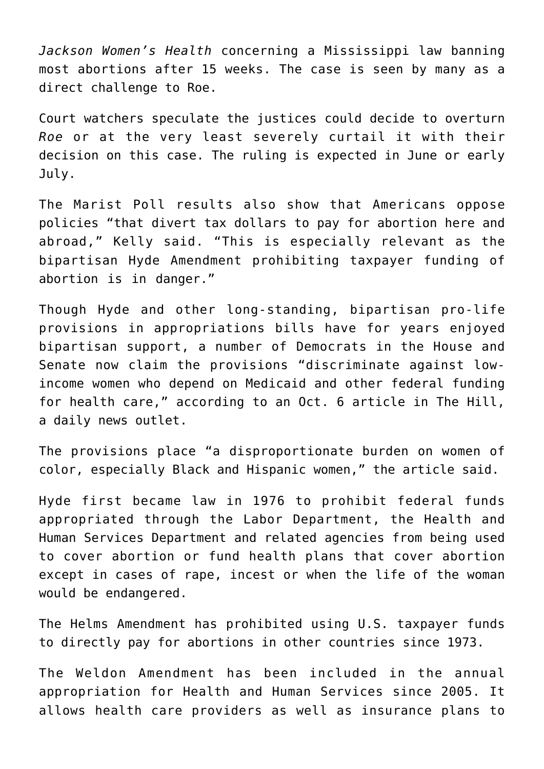*Jackson Women's Health* concerning a Mississippi law banning most abortions after 15 weeks. The case is seen by many as a direct challenge to Roe.

Court watchers speculate the justices could decide to overturn *Roe* or at the very least severely curtail it with their decision on this case. The ruling is expected in June or early July.

The Marist Poll results also show that Americans oppose policies "that divert tax dollars to pay for abortion here and abroad," Kelly said. "This is especially relevant as the bipartisan Hyde Amendment prohibiting taxpayer funding of abortion is in danger."

Though Hyde and other long-standing, bipartisan pro-life provisions in appropriations bills have for years enjoyed bipartisan support, a number of Democrats in the House and Senate now claim the provisions "discriminate against lowincome women who depend on Medicaid and other federal funding for health care," according to an Oct. 6 article in The Hill, a daily news outlet.

The provisions place "a disproportionate burden on women of color, especially Black and Hispanic women," the article said.

Hyde first became law in 1976 to prohibit federal funds appropriated through the Labor Department, the Health and Human Services Department and related agencies from being used to cover abortion or fund health plans that cover abortion except in cases of rape, incest or when the life of the woman would be endangered.

The Helms Amendment has prohibited using U.S. taxpayer funds to directly pay for abortions in other countries since 1973.

The Weldon Amendment has been included in the annual appropriation for Health and Human Services since 2005. It allows health care providers as well as insurance plans to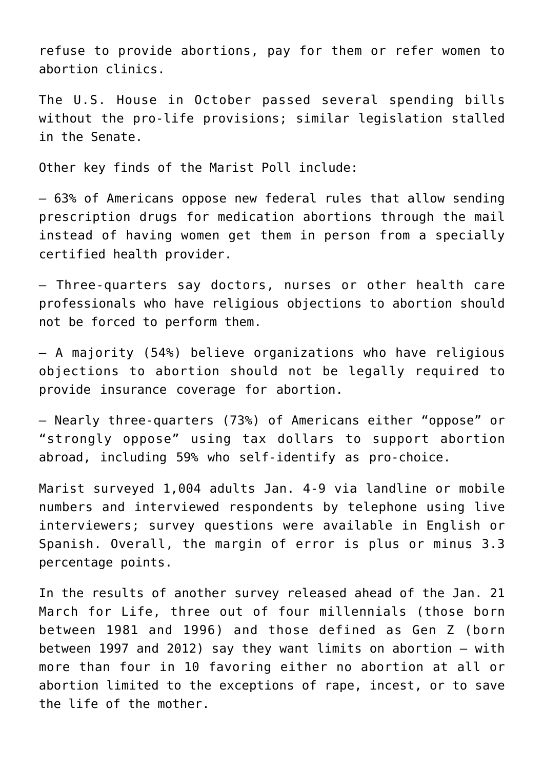refuse to provide abortions, pay for them or refer women to abortion clinics.

The U.S. House in October passed several spending bills without the pro-life provisions; similar legislation stalled in the Senate.

Other key finds of the Marist Poll include:

— 63% of Americans oppose new federal rules that allow sending prescription drugs for medication abortions through the mail instead of having women get them in person from a specially certified health provider.

— Three-quarters say doctors, nurses or other health care professionals who have religious objections to abortion should not be forced to perform them.

— A majority (54%) believe organizations who have religious objections to abortion should not be legally required to provide insurance coverage for abortion.

— Nearly three-quarters (73%) of Americans either "oppose" or "strongly oppose" using tax dollars to support abortion abroad, including 59% who self-identify as pro-choice.

Marist surveyed 1,004 adults Jan. 4-9 via landline or mobile numbers and interviewed respondents by telephone using live interviewers; survey questions were available in English or Spanish. Overall, the margin of error is plus or minus 3.3 percentage points.

In the results of another survey released ahead of the Jan. 21 March for Life, three out of four millennials (those born between 1981 and 1996) and those defined as Gen Z (born between 1997 and 2012) say they want limits on abortion — with more than four in 10 favoring either no abortion at all or abortion limited to the exceptions of rape, incest, or to save the life of the mother.